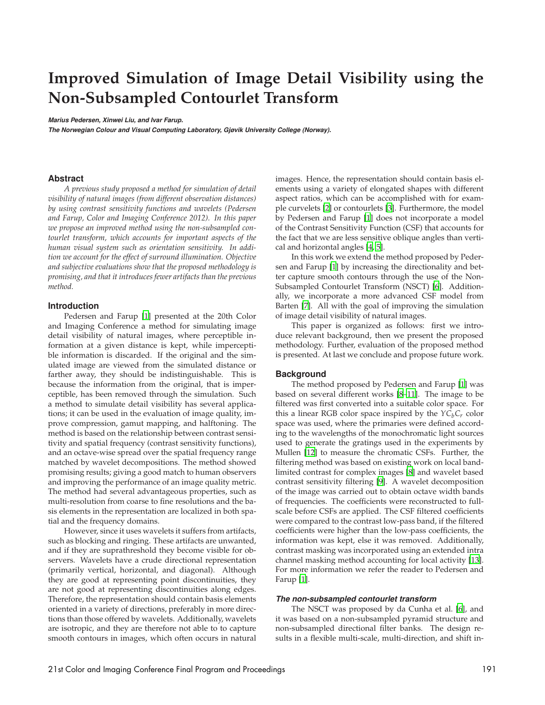# **Improved Simulation of Image Detail Visibility using the Non-Subsampled Contourlet Transform**

**Marius Pedersen, Xinwei Liu, and Ivar Farup.**

**The Norwegian Colour and Visual Computing Laboratory, Gjøvik University College (Norway).**

## **Abstract**

*A previous study proposed a method for simulation of detail visibility of natural images (from different observation distances) by using contrast sensitivity functions and wavelets (Pedersen and Farup, Color and Imaging Conference 2012). In this paper we propose an improved method using the non-subsampled contourlet transform, which accounts for important aspects of the human visual system such as orientation sensitivity. In addition we account for the effect of surround illumination. Objective and subjective evaluations show that the proposed methodology is promising, and that it introduces fewer artifacts than the previous method.*

## **Introduction**

Pedersen and Farup [1] presented at the 20th Color and Imaging Conference a method for simulating image detail visibility of natural images, where perceptible information at a given distance is kept, while imperceptible information is discarded. If the original and the simulated image are viewed from the simulated distance or farther away, they should be indistinguishable. This is because the information from the original, that is imperceptible, has been removed through the simulation. Such a method to simulate detail visibility has several applications; it can be used in the evaluation of image quality, improve compression, gamut mapping, and halftoning. The method is based on the relationship between contrast sensitivity and spatial frequency (contrast sensitivity functions), and an octave-wise spread over the spatial frequency range matched by wavelet decompositions. The method showed promising results; giving a good match to human observers and improving the performance of an image quality metric. The method had several advantageous properties, such as multi-resolution from coarse to fine resolutions and the basis elements in the representation are localized in both spatial and the frequency domains.

However, since it uses wavelets it suffers from artifacts, such as blocking and ringing. These artifacts are unwanted, and if they are suprathreshold they become visible for observers. Wavelets have a crude directional representation (primarily vertical, horizontal, and diagonal). Although they are good at representing point discontinuities, they are not good at representing discontinuities along edges. Therefore, the representation should contain basis elements oriented in a variety of directions, preferably in more directions than those offered by wavelets. Additionally, wavelets are isotropic, and they are therefore not able to to capture smooth contours in images, which often occurs in natural images. Hence, the representation should contain basis elements using a variety of elongated shapes with different aspect ratios, which can be accomplished with for example curvelets [2] or contourlets [3]. Furthermore, the model by Pedersen and Farup [1] does not incorporate a model of the Contrast Sensitivity Function (CSF) that accounts for the fact that we are less sensitive oblique angles than vertical and horizontal angles [4, 5].

In this work we extend the method proposed by Pedersen and Farup [1] by increasing the directionality and better capture smooth contours through the use of the Non-Subsampled Contourlet Transform (NSCT) [6]. Additionally, we incorporate a more advanced CSF model from Barten [7]. All with the goal of improving the simulation of image detail visibility of natural images.

This paper is organized as follows: first we introduce relevant background, then we present the proposed methodology. Further, evaluation of the proposed method is presented. At last we conclude and propose future work.

#### **Background**

The method proposed by Pedersen and Farup [1] was based on several different works [8–11]. The image to be filtered was first converted into a suitable color space. For this a linear RGB color space inspired by the  $\gamma C_b C_r$  color space was used, where the primaries were defined according to the wavelengths of the monochromatic light sources used to generate the gratings used in the experiments by Mullen [12] to measure the chromatic CSFs. Further, the filtering method was based on existing work on local bandlimited contrast for complex images [8] and wavelet based contrast sensitivity filtering [9]. A wavelet decomposition of the image was carried out to obtain octave width bands of frequencies. The coefficients were reconstructed to fullscale before CSFs are applied. The CSF filtered coefficients were compared to the contrast low-pass band, if the filtered coefficients were higher than the low-pass coefficients, the information was kept, else it was removed. Additionally, contrast masking was incorporated using an extended intra channel masking method accounting for local activity [13]. For more information we refer the reader to Pedersen and Farup [1].

#### **The non-subsampled contourlet transform**

The NSCT was proposed by da Cunha et al. [6], and it was based on a non-subsampled pyramid structure and non-subsampled directional filter banks. The design results in a flexible multi-scale, multi-direction, and shift in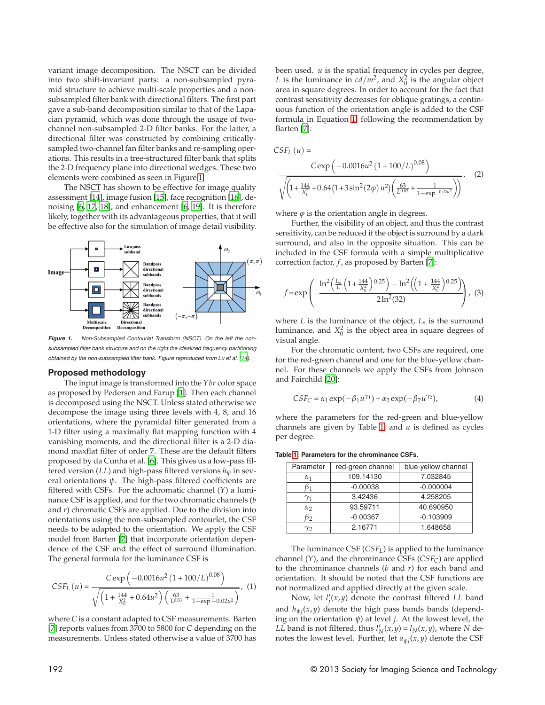variant image decomposition. The NSCT can be divided into two shift-invariant parts: a non-subsampled pyramid structure to achieve multi-scale properties and a nonsubsampled filter bank with directional filters. The first part gave a sub-band decomposition similar to that of the Lapacian pyramid, which was done through the usage of twochannel non-subsampled 2-D filter banks. For the latter, a directional filter was constructed by combining criticallysampled two-channel fan filter banks and re-sampling operations. This results in a tree-structured filter bank that splits the 2-D frequency plane into directional wedges. These two elements were combined as seen in Figure 1.

The NSCT has shown to be effective for image quality assessment [14], image fusion [15], face recognition [16], denoising [6, 17, 18], and enhancement [6, 19]. It is therefore likely, together with its advantageous properties, that it will be effective also for the simulation of image detail visibility.



Figure 1. Non-Subsampled Contourlet Transform (NSCT). On the left the nonsubsampled filter bank structure and on the right the idealized frequency partitioning obtained by the non-subsampled filter bank. Figure reproduced from Lu et al. [14].

#### **Proposed methodology**

The input image is transformed into the *Ybr* color space as proposed by Pedersen and Farup [1]. Then each channel is decomposed using the NSCT. Unless stated otherwise we decompose the image using three levels with 4, 8, and 16 orientations, where the pyramidal filter generated from a 1-D filter using a maximally flat mapping function with 4 vanishing moments, and the directional filter is a 2-D diamond maxflat filter of order 7. These are the default filters proposed by da Cunha et al. [6]. This gives us a low-pass filtered version (*LL*) and high-pass filtered versions *hψ* in several orientations *ψ*. The high-pass filtered coefficients are filtered with CSFs. For the achromatic channel (*Y*) a luminance CSF is applied, and for the two chromatic channels (*b* and *r*) chromatic CSFs are applied. Due to the division into orientations using the non-subsampled contourlet, the CSF needs to be adapted to the orientation. We apply the CSF model from Barten [7] that incorporate orientation dependence of the CSF and the effect of surround illumination. The general formula for the luminance CSF is

$$
CSF_{L}(u) = \frac{C \exp \left(-0.0016u^{2} \left(1+100/L\right)^{0.08}\right)}{\sqrt{\left(1+\frac{144}{X_{0}^{2}}+0.64u^{2}\right) \left(\frac{63}{L^{0.83}}+\frac{1}{1-\exp -0.02u^{2}}\right)}},
$$
(1)

where *C* is a constant adapted to CSF measurements. Barten [7] reports values from 3700 to 5800 for *C* depending on the measurements. Unless stated otherwise a value of 3700 has been used. *u* is the spatial frequency in cycles per degree, *L* is the luminance in  $cd/m^2$ , and  $X_0^2$  is the angular object area in square degrees. In order to account for the fact that contrast sensitivity decreases for oblique gratings, a continuous function of the orientation angle is added to the CSF formula in Equation 1, following the recommendation by Barten [7]:

$$
CSE_L (u) = \frac{C \exp \left(-0.0016u^2 (1 + 100/L)^{0.08}\right)}{\sqrt{\left(1 + \frac{144}{X_0^2} + 0.64 \left(1 + 3\sin^2(2\varphi) u^2\right) \left(\frac{63}{L^{0.83}} + \frac{1}{1 - \exp^{-0.02u^2}}\right)\right)}}
$$
(2)

where  $\varphi$  is the orientation angle in degrees.

Further, the visibility of an object, and thus the contrast sensitivity, can be reduced if the object is surround by a dark surround, and also in the opposite situation. This can be included in the CSF formula with a simple multiplicative correction factor, *f* , as proposed by Barten [7]:

$$
f = \exp\left(-\frac{\ln^2\left(\frac{L_s}{L}\left(1 + \frac{144}{X_0^2}\right)^{0.25}\right) - \ln^2\left(\left(1 + \frac{144}{X_0^2}\right)^{0.25}\right)}{2\ln^2(32)}\right), \tag{3}
$$

where *L* is the luminance of the object, *Ls* is the surround luminance, and  $X_0^2$  is the object area in square degrees of visual angle.

For the chromatic content, two CSFs are required, one for the red-green channel and one for the blue-yellow channel. For these channels we apply the CSFs from Johnson and Fairchild [20]:

$$
CSF_C = \alpha_1 \exp(-\beta_1 u^{\gamma_1}) + \alpha_2 \exp(-\beta_2 u^{\gamma_2}),
$$
 (4)

where the parameters for the red-green and blue-yellow channels are given by Table 1, and *u* is defined as cycles per degree.

**Table 1: Parameters for the chrominance CSFs.**

| Parameter  | red-green channel | blue-yellow channel |
|------------|-------------------|---------------------|
| $\alpha_1$ | 109.14130         | 7.032845            |
| D1         | $-0.00038$        | $-0.000004$         |
| $\gamma_1$ | 3.42436           | 4.258205            |
| $\alpha$   | 93.59711          | 40.690950           |
| $\beta_2$  | $-0.00367$        | $-0.103909$         |
| Y2         | 2.16771           | 1.648658            |

The luminance CSF (*CSFL*) is applied to the luminance channel (*Y*), and the chrominance CSFs (*CSFC*) are applied to the chrominance channels (*b* and *r*) for each band and orientation. It should be noted that the CSF functions are not normalized and applied directly at the given scale.

Now, let  $l_i'$ *j* (*x*, *y*) denote the contrast filtered *LL* band and *hψ<sup>j</sup>* (*x*, *y*) denote the high pass bands bands (depending on the orientation *ψ*) at level *j*. At the lowest level, the *LL* band is not filtered, thus  $l'_i$  $N_N(x,y) = l_N(x,y)$ , where *N* denotes the lowest level. Further, let *aψ<sup>j</sup>* (*x*, *y*) denote the CSF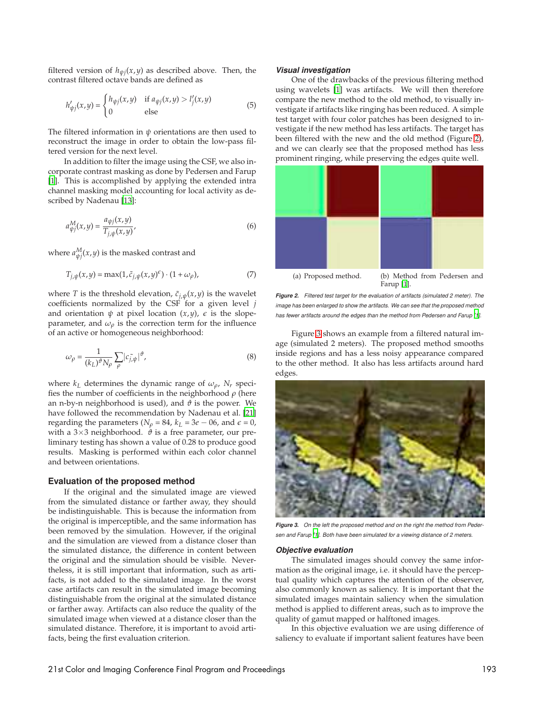filtered version of  $h_{\psi j}(x,y)$  as described above. Then, the contrast filtered octave bands are defined as

$$
h'_{\psi j}(x,y) = \begin{cases} h_{\psi j}(x,y) & \text{if } a_{\psi j}(x,y) > l'_j(x,y) \\ 0 & \text{else} \end{cases} \tag{5}
$$

The filtered information in *ψ* orientations are then used to reconstruct the image in order to obtain the low-pass filtered version for the next level.

In addition to filter the image using the CSF, we also incorporate contrast masking as done by Pedersen and Farup [1]. This is accomplished by applying the extended intra channel masking model accounting for local activity as described by Nadenau [13]:

$$
a_{\psi j}^M(x, y) = \frac{a_{\psi j}(x, y)}{T_{j, \psi}(x, y)},
$$
\n<sup>(6)</sup>

where  $a_{\psi j}^{M}\!\left(x,y\right)$  is the masked contrast and

$$
T_{j,\psi}(x,y) = \max(1, \tilde{c}_{j,\psi}(x,y)^{\epsilon}) \cdot (1 + \omega_{\rho}), \tag{7}
$$

where *T* is the threshold elevation,  $\tilde{c}_{j,\psi}(x,y)$  is the wavelet coefficients normalized by the CSF for a given level *j* and orientation  $\psi$  at pixel location  $(x, y)$ ,  $\epsilon$  is the slopeparameter, and  $\omega_{\rho}$  is the correction term for the influence of an active or homogeneous neighborhood:

$$
\omega_{\rho} = \frac{1}{(k_L)^{\vartheta} N_{\rho}} \sum_{\rho} |c_{\tilde{j},\psi}|^{\vartheta},\tag{8}
$$

where  $k_L$  determines the dynamic range of  $\omega_\rho$ ,  $N_r$  specifies the number of coefficients in the neighborhood *ρ* (here an n-by-n neighborhood is used), and  $\vartheta$  is the power. We have followed the recommendation by Nadenau et al. [21] regarding the parameters ( $N_\rho$  = 84,  $k_L$  = 3*e* – 06, and  $\epsilon$  = 0, with a  $3\times3$  neighborhood.  $\vartheta$  is a free parameter, our preliminary testing has shown a value of 0.28 to produce good results. Masking is performed within each color channel and between orientations.

#### **Evaluation of the proposed method**

If the original and the simulated image are viewed from the simulated distance or farther away, they should be indistinguishable. This is because the information from the original is imperceptible, and the same information has been removed by the simulation. However, if the original and the simulation are viewed from a distance closer than the simulated distance, the difference in content between the original and the simulation should be visible. Nevertheless, it is still important that information, such as artifacts, is not added to the simulated image. In the worst case artifacts can result in the simulated image becoming distinguishable from the original at the simulated distance or farther away. Artifacts can also reduce the quality of the simulated image when viewed at a distance closer than the simulated distance. Therefore, it is important to avoid artifacts, being the first evaluation criterion.

## **Visual investigation**

One of the drawbacks of the previous filtering method using wavelets [1] was artifacts. We will then therefore compare the new method to the old method, to visually investigate if artifacts like ringing has been reduced. A simple test target with four color patches has been designed to investigate if the new method has less artifacts. The target has been filtered with the new and the old method (Figure 2), and we can clearly see that the proposed method has less prominent ringing, while preserving the edges quite well.



**Figure 2.** Filtered test target for the evaluation of artifacts (simulated 2 meter). The image has been enlarged to show the artifacts. We can see that the proposed method has fewer artifacts around the edges than the method from Pedersen and Farup [1].

Figure 3 shows an example from a filtered natural image (simulated 2 meters). The proposed method smooths inside regions and has a less noisy appearance compared to the other method. It also has less artifacts around hard edges.



**Figure 3.** On the left the proposed method and on the right the method from Peder sen and Farup [1]. Both have been simulated for a viewing distance of 2 meters.

#### **Objective evaluation**

The simulated images should convey the same information as the original image, i.e. it should have the perceptual quality which captures the attention of the observer, also commonly known as saliency. It is important that the simulated images maintain saliency when the simulation method is applied to different areas, such as to improve the quality of gamut mapped or halftoned images.

In this objective evaluation we are using difference of saliency to evaluate if important salient features have been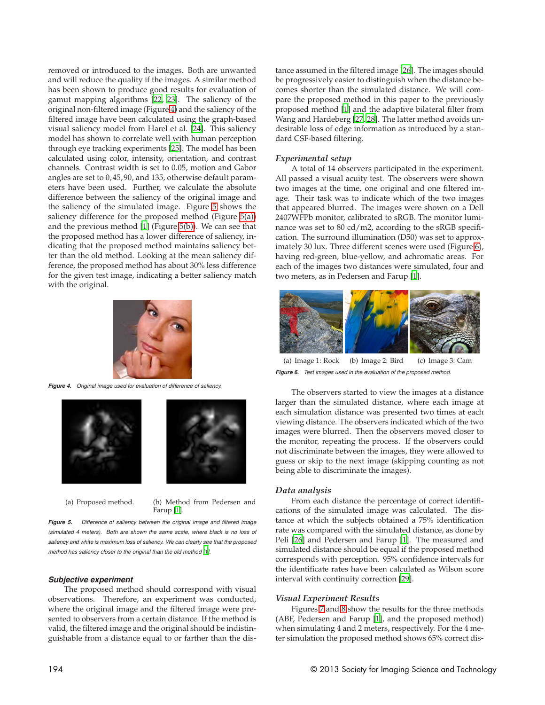removed or introduced to the images. Both are unwanted and will reduce the quality if the images. A similar method has been shown to produce good results for evaluation of gamut mapping algorithms [22, 23]. The saliency of the original non-filtered image (Figure 4) and the saliency of the filtered image have been calculated using the graph-based visual saliency model from Harel et al. [24]. This saliency model has shown to correlate well with human perception through eye tracking experiments [25]. The model has been calculated using color, intensity, orientation, and contrast channels. Contrast width is set to 0.05, motion and Gabor angles are set to 0, 45, 90, and 135, otherwise default parameters have been used. Further, we calculate the absolute difference between the saliency of the original image and the saliency of the simulated image. Figure 5 shows the saliency difference for the proposed method (Figure 5(a)) and the previous method [1] (Figure 5(b)). We can see that the proposed method has a lower difference of saliency, indicating that the proposed method maintains saliency better than the old method. Looking at the mean saliency difference, the proposed method has about 30% less difference for the given test image, indicating a better saliency match with the original.



**Figure 4.** Original image used for evaluation of difference of saliency.





(a) Proposed method. (b) Method from Pedersen and Farup [1].

Figure 5. Difference of saliency between the original image and filtered image (simulated 4 meters). Both are shown the same scale, where black is no loss of saliency and white is maximum loss of saliency. We can clearly see that the proposed method has saliency closer to the original than the old method [1].

## **Subjective experiment**

The proposed method should correspond with visual observations. Therefore, an experiment was conducted, where the original image and the filtered image were presented to observers from a certain distance. If the method is valid, the filtered image and the original should be indistinguishable from a distance equal to or farther than the distance assumed in the filtered image [26]. The images should be progressively easier to distinguish when the distance becomes shorter than the simulated distance. We will compare the proposed method in this paper to the previously proposed method [1] and the adaptive bilateral filter from Wang and Hardeberg [27, 28]. The latter method avoids undesirable loss of edge information as introduced by a standard CSF-based filtering.

# *Experimental setup*

A total of 14 observers participated in the experiment. All passed a visual acuity test. The observers were shown two images at the time, one original and one filtered image. Their task was to indicate which of the two images that appeared blurred. The images were shown on a Dell 2407WFPb monitor, calibrated to sRGB. The monitor luminance was set to 80 cd/m2, according to the sRGB specification. The surround illumination (D50) was set to approximately 30 lux. Three different scenes were used (Figure 6), having red-green, blue-yellow, and achromatic areas. For each of the images two distances were simulated, four and two meters, as in Pedersen and Farup [1].



(a) Image 1: Rock (b) Image 2: Bird (c) Image 3: Cam **Figure 6.** Test images used in the evaluation of the proposed method.

The observers started to view the images at a distance larger than the simulated distance, where each image at each simulation distance was presented two times at each viewing distance. The observers indicated which of the two images were blurred. Then the observers moved closer to the monitor, repeating the process. If the observers could not discriminate between the images, they were allowed to guess or skip to the next image (skipping counting as not being able to discriminate the images).

## *Data analysis*

From each distance the percentage of correct identifications of the simulated image was calculated. The distance at which the subjects obtained a 75% identification rate was compared with the simulated distance, as done by Peli [26] and Pedersen and Farup [1]. The measured and simulated distance should be equal if the proposed method corresponds with perception. 95% confidence intervals for the identificate rates have been calculated as Wilson score interval with continuity correction [29].

## *Visual Experiment Results*

Figures 7 and 8 show the results for the three methods (ABF, Pedersen and Farup [1], and the proposed method) when simulating 4 and 2 meters, respectively. For the 4 meter simulation the proposed method shows 65% correct dis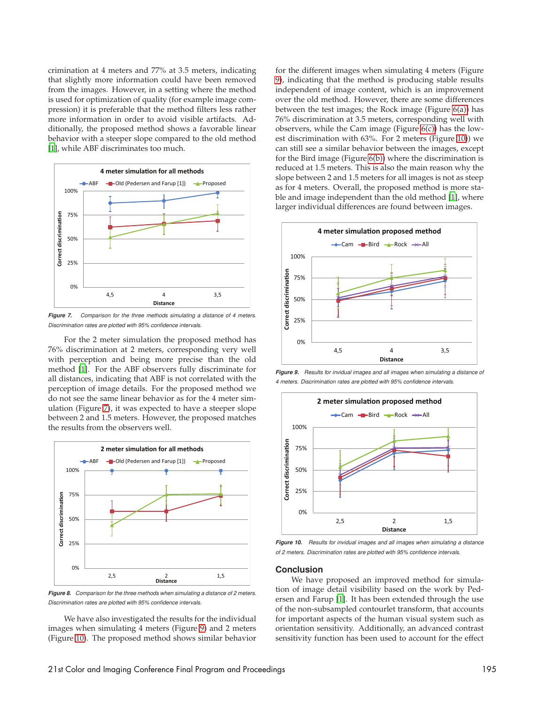crimination at 4 meters and 77% at 3.5 meters, indicating that slightly more information could have been removed from the images. However, in a setting where the method is used for optimization of quality (for example image compression) it is preferable that the method filters less rather more information in order to avoid visible artifacts. Additionally, the proposed method shows a favorable linear behavior with a steeper slope compared to the old method [1], while ABF discriminates too much.



**Figure 7.** Comparison for the three methods simulating a distance of 4 meters. Discrimination rates are plotted with 95% confidence intervals.

For the 2 meter simulation the proposed method has 76% discrimination at 2 meters, corresponding very well with perception and being more precise than the old method [1]. For the ABF observers fully discriminate for all distances, indicating that ABF is not correlated with the perception of image details. For the proposed method we do not see the same linear behavior as for the 4 meter simulation (Figure 7), it was expected to have a steeper slope between 2 and 1.5 meters. However, the proposed matches the results from the observers well.



**Figure 8.** Comparison for the three methods when simulating a distance of 2 meters. Discrimination rates are plotted with 95% confidence intervals.

We have also investigated the results for the individual images when simulating 4 meters (Figure 9) and 2 meters (Figure 10). The proposed method shows similar behavior for the different images when simulating 4 meters (Figure 9), indicating that the method is producing stable results independent of image content, which is an improvement over the old method. However, there are some differences between the test images; the Rock image (Figure 6(a)) has 76% discrimination at 3.5 meters, corresponding well with observers, while the Cam image (Figure  $6(c)$ ) has the lowest discrimination with 63%. For 2 meters (Figure 10)) we can still see a similar behavior between the images, except for the Bird image (Figure 6(b)) where the discrimination is reduced at 1.5 meters. This is also the main reason why the slope between 2 and 1.5 meters for all images is not as steep as for 4 meters. Overall, the proposed method is more stable and image independent than the old method [1], where larger individual differences are found between images.



**Figure 9.** Results for invidual images and all images when simulating a distance of 4 meters. Discrimination rates are plotted with 95% confidence intervals.



**Figure 10.** Results for invidual images and all images when simulating a distance of 2 meters. Discrimination rates are plotted with 95% confidence intervals.

# **Conclusion**

We have proposed an improved method for simulation of image detail visibility based on the work by Pedersen and Farup [1]. It has been extended through the use of the non-subsampled contourlet transform, that accounts for important aspects of the human visual system such as orientation sensitivity. Additionally, an advanced contrast sensitivity function has been used to account for the effect